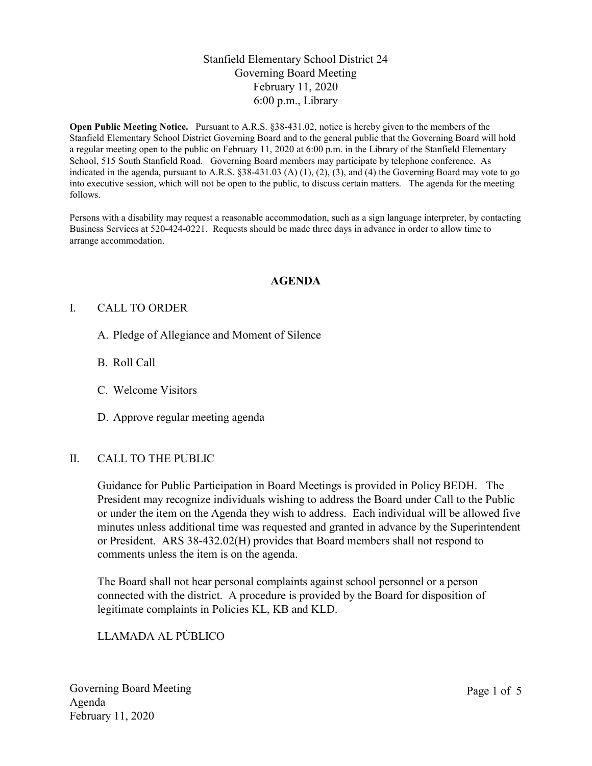## Stanfield Elementary School District 24 Governing Board Meeting February 11, 2020 6:00 p.m., Library

Open Public Meeting Notice. Pursuant to A.R.S. §38-431.02, notice is hereby given to the members of the Stanfield Elementary School District Governing Board and to the general public that the Governing Board will hold a regular meeting open to the public on February 11, 2020 at 6:00 p.m. in the Library of the Stanfield Elementary School, 515 South Stanfield Road. Governing Board members may participate by telephone conference. As indicated in the agenda, pursuant to A.R.S.  $\S 38-431.03$  (A) (1), (2), (3), and (4) the Governing Board may vote to go into executive session, which will not be open to the public, to discuss certain matters. The agenda for the meeting follows.

Persons with a disability may request a reasonable accommodation, such as a sign language interpreter, by contacting Business Services at 520-424-0221. Requests should be made three days in advance in order to allow time to arrange accommodation.

#### AGENDA

#### I. CALL TO ORDER

- A. Pledge of Allegiance and Moment of Silence
- B. Roll Call
- C. Welcome Visitors
- D. Approve regular meeting agenda

#### II. CALL TO THE PUBLIC

Guidance for Public Participation in Board Meetings is provided in Policy BEDH. The President may recognize individuals wishing to address the Board under Call to the Public or under the item on the Agenda they wish to address. Each individual will be allowed five minutes unless additional time was requested and granted in advance by the Superintendent or President. ARS 38-432.02(H) provides that Board members shall not respond to comments unless the item is on the agenda.

The Board shall not hear personal complaints against school personnel or a person connected with the district. A procedure is provided by the Board for disposition of legitimate complaints in Policies KL, KB and KLD.

## LLAMADA AL PÚBLICO

Governing Board Meeting Agenda February 11, 2020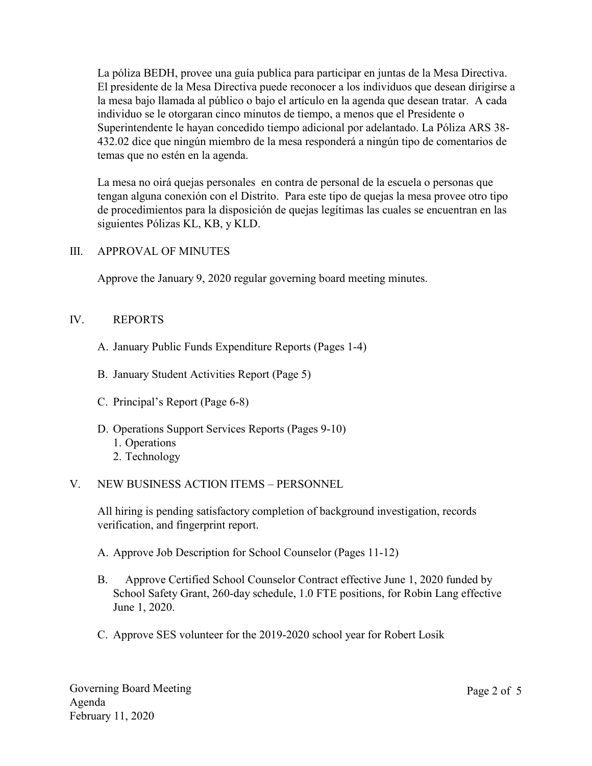La póliza BEDH, provee una guía publica para participar en juntas de la Mesa Directiva. El presidente de la Mesa Directiva puede reconocer a los individuos que desean dirigirse a la mesa bajo llamada al público o bajo el artículo en la agenda que desean tratar. A cada individuo se le otorgaran cinco minutos de tiempo, a menos que el Presidente o Superintendente le hayan concedido tiempo adicional por adelantado. La Póliza ARS 38- 432.02 dice que ningún miembro de la mesa responderá a ningún tipo de comentarios de temas que no estén en la agenda.

La mesa no oirá quejas personales en contra de personal de la escuela o personas que tengan alguna conexión con el Distrito. Para este tipo de quejas la mesa provee otro tipo de procedimientos para la disposición de quejas legítimas las cuales se encuentran en las siguientes Pólizas KL, KB, y KLD.

### III. APPROVAL OF MINUTES

Approve the January 9, 2020 regular governing board meeting minutes.

#### IV. REPORTS

- A. January Public Funds Expenditure Reports (Pages 1-4)
- B. January Student Activities Report (Page 5)
- C. Principal's Report (Page 6-8)
- D. Operations Support Services Reports (Pages 9-10) 1. Operations
	- 2. Technology

### V. NEW BUSINESS ACTION ITEMS – PERSONNEL

All hiring is pending satisfactory completion of background investigation, records verification, and fingerprint report.

A. Approve Job Description for School Counselor (Pages 11-12)

- B. Approve Certified School Counselor Contract effective June 1, 2020 funded by School Safety Grant, 260-day schedule, 1.0 FTE positions, for Robin Lang effective June 1, 2020.
- C. Approve SES volunteer for the 2019-2020 school year for Robert Losik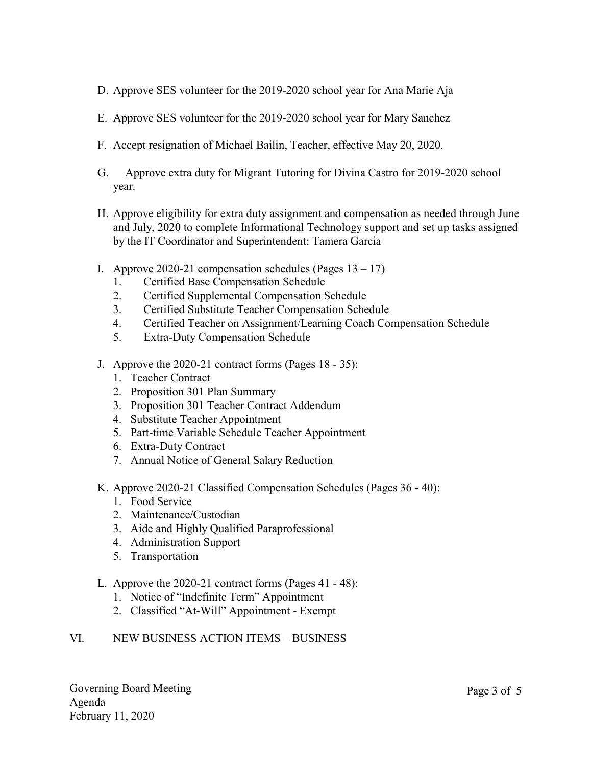- D. Approve SES volunteer for the 2019-2020 school year for Ana Marie Aja
- E. Approve SES volunteer for the 2019-2020 school year for Mary Sanchez
- F. Accept resignation of Michael Bailin, Teacher, effective May 20, 2020.
- G. Approve extra duty for Migrant Tutoring for Divina Castro for 2019-2020 school year.
- H. Approve eligibility for extra duty assignment and compensation as needed through June and July, 2020 to complete Informational Technology support and set up tasks assigned by the IT Coordinator and Superintendent: Tamera Garcia
- I. Approve 2020-21 compensation schedules (Pages  $13 17$ )
	- 1. Certified Base Compensation Schedule
	- 2. Certified Supplemental Compensation Schedule
	- 3. Certified Substitute Teacher Compensation Schedule
	- 4. Certified Teacher on Assignment/Learning Coach Compensation Schedule
	- 5. Extra-Duty Compensation Schedule
- J. Approve the 2020-21 contract forms (Pages 18 35):
	- 1. Teacher Contract
	- 2. Proposition 301 Plan Summary
	- 3. Proposition 301 Teacher Contract Addendum
	- 4. Substitute Teacher Appointment
	- 5. Part-time Variable Schedule Teacher Appointment
	- 6. Extra-Duty Contract
	- 7. Annual Notice of General Salary Reduction
- K. Approve 2020-21 Classified Compensation Schedules (Pages 36 40):
	- 1. Food Service
	- 2. Maintenance/Custodian
	- 3. Aide and Highly Qualified Paraprofessional
	- 4. Administration Support
	- 5. Transportation
- L. Approve the 2020-21 contract forms (Pages 41 48):
	- 1. Notice of "Indefinite Term" Appointment
	- 2. Classified "At-Will" Appointment Exempt

# VI. NEW BUSINESS ACTION ITEMS – BUSINESS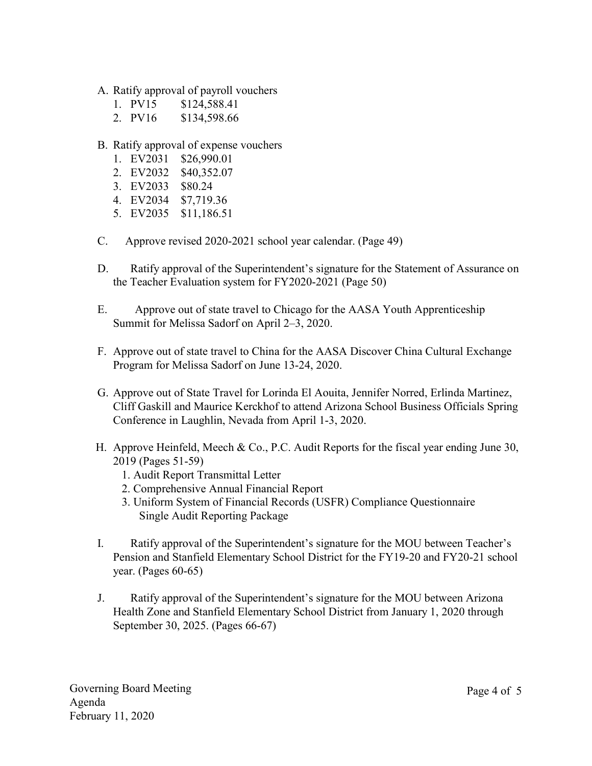- A. Ratify approval of payroll vouchers
	- 1. PV15 \$124,588.41
	- 2. PV16 \$134,598.66
- B. Ratify approval of expense vouchers
	- 1. EV2031 \$26,990.01
	- 2. EV2032 \$40,352.07
	- 3. EV2033 \$80.24
	- 4. EV2034 \$7,719.36
	- 5. EV2035 \$11,186.51
- C. Approve revised 2020-2021 school year calendar. (Page 49)
- D. Ratify approval of the Superintendent's signature for the Statement of Assurance on the Teacher Evaluation system for FY2020-2021 (Page 50)
- E. Approve out of state travel to Chicago for the AASA Youth Apprenticeship Summit for Melissa Sadorf on April 2–3, 2020.
- F. Approve out of state travel to China for the AASA Discover China Cultural Exchange Program for Melissa Sadorf on June 13-24, 2020.
- G. Approve out of State Travel for Lorinda El Aouita, Jennifer Norred, Erlinda Martinez, Cliff Gaskill and Maurice Kerckhof to attend Arizona School Business Officials Spring Conference in Laughlin, Nevada from April 1-3, 2020.
- H. Approve Heinfeld, Meech & Co., P.C. Audit Reports for the fiscal year ending June 30, 2019 (Pages 51-59)
	- 1. Audit Report Transmittal Letter
	- 2. Comprehensive Annual Financial Report
	- 3. Uniform System of Financial Records (USFR) Compliance Questionnaire Single Audit Reporting Package
- I. Ratify approval of the Superintendent's signature for the MOU between Teacher's Pension and Stanfield Elementary School District for the FY19-20 and FY20-21 school year. (Pages 60-65)
- J. Ratify approval of the Superintendent's signature for the MOU between Arizona Health Zone and Stanfield Elementary School District from January 1, 2020 through September 30, 2025. (Pages 66-67)